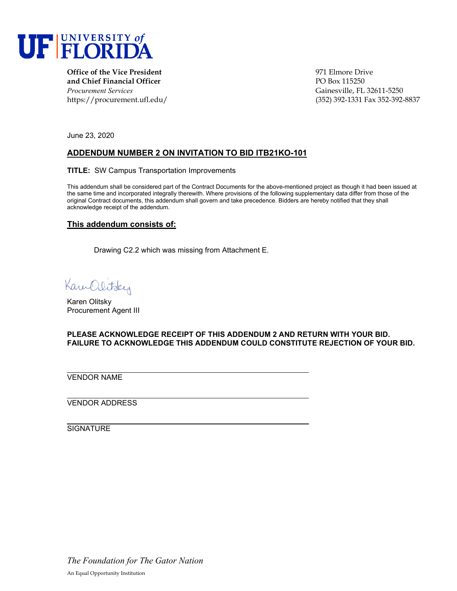

**Office of the Vice President 1971 Elmore Drive and Chief Financial Officer PO Box 115250** *Procurement Services* Gainesville, FL 32611-5250

https://procurement.ufl.edu/ (352) 392-1331 Fax 352-392-8837

June 23, 2020

## **ADDENDUM NUMBER 2 ON INVITATION TO BID ITB21KO-101**

**TITLE:** SW Campus Transportation Improvements

This addendum shall be considered part of the Contract Documents for the above-mentioned project as though it had been issued at the same time and incorporated integrally therewith. Where provisions of the following supplementary data differ from those of the original Contract documents, this addendum shall govern and take precedence. Bidders are hereby notified that they shall acknowledge receipt of the addendum.

## **This addendum consists of:**

Drawing C2.2 which was missing from Attachment E.

Kam Olitsky

Karen Olitsky Procurement Agent III

**PLEASE ACKNOWLEDGE RECEIPT OF THIS ADDENDUM 2 AND RETURN WITH YOUR BID. FAILURE TO ACKNOWLEDGE THIS ADDENDUM COULD CONSTITUTE REJECTION OF YOUR BID.**

VENDOR NAME

VENDOR ADDRESS

**SIGNATURE** 

*The Foundation for The Gator Nation* An Equal Opportunity Institution